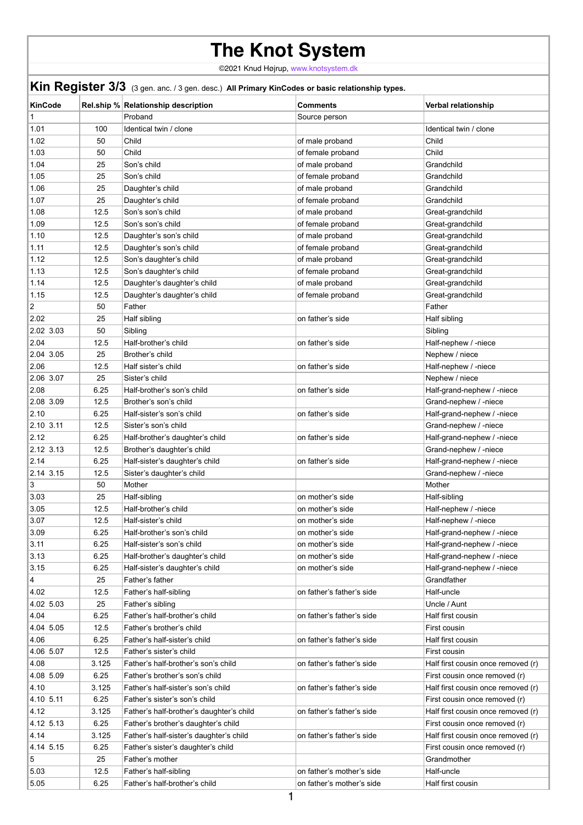## **The Knot System**

©2021 Knud Højrup, [www.knotsystem.dk](http://www.knotsystem.dk/contact.html)

|                | Kin Register 3/3 (3 gen. anc. / 3 gen. desc.) All Primary KinCodes or basic relationship types. |                                          |                           |                                    |  |  |
|----------------|-------------------------------------------------------------------------------------------------|------------------------------------------|---------------------------|------------------------------------|--|--|
| <b>KinCode</b> |                                                                                                 | Rel.ship % Relationship description      | <b>Comments</b>           | <b>Verbal relationship</b>         |  |  |
|                |                                                                                                 | Proband                                  | Source person             |                                    |  |  |
| 1.01           | 100                                                                                             | Identical twin / clone                   |                           | Identical twin / clone             |  |  |
| 1.02           | 50                                                                                              | Child                                    | of male proband           | Child                              |  |  |
| 1.03           | 50                                                                                              | Child                                    | of female proband         | Child                              |  |  |
| 1.04           | 25                                                                                              | Son's child                              | of male proband           | Grandchild                         |  |  |
| 1.05           | 25                                                                                              | Son's child                              | of female proband         | Grandchild                         |  |  |
| 1.06           | 25                                                                                              | Daughter's child                         | of male proband           | Grandchild                         |  |  |
| 1.07           | 25                                                                                              | Daughter's child                         | of female proband         | Grandchild                         |  |  |
| 1.08           | 12.5                                                                                            | Son's son's child                        | of male proband           | Great-grandchild                   |  |  |
| 1.09           | 12.5                                                                                            | Son's son's child                        | of female proband         | Great-grandchild                   |  |  |
| 1.10           | 12.5                                                                                            | Daughter's son's child                   | of male proband           | Great-grandchild                   |  |  |
| 1.11           | 12.5                                                                                            | Daughter's son's child                   | of female proband         | Great-grandchild                   |  |  |
| 1.12           | 12.5                                                                                            | Son's daughter's child                   | of male proband           | Great-grandchild                   |  |  |
| 1.13           | 12.5                                                                                            | Son's daughter's child                   | of female proband         | Great-grandchild                   |  |  |
| 1.14           | 12.5                                                                                            | Daughter's daughter's child              | of male proband           | Great-grandchild                   |  |  |
| 1.15           | 12.5                                                                                            | Daughter's daughter's child              | of female proband         | Great-grandchild                   |  |  |
| $\overline{2}$ | 50                                                                                              | Father                                   |                           | Father                             |  |  |
| 2.02           | 25                                                                                              | Half sibling                             | on father's side          | Half sibling                       |  |  |
| 2.02 3.03      | 50                                                                                              | Sibling                                  |                           | Sibling                            |  |  |
| 2.04           | 12.5                                                                                            | Half-brother's child                     | on father's side          | Half-nephew / -niece               |  |  |
| 2.04 3.05      | 25                                                                                              | Brother's child                          |                           | Nephew / niece                     |  |  |
| 2.06           | 12.5                                                                                            | Half sister's child                      | on father's side          | Half-nephew / -niece               |  |  |
| 2.06 3.07      | 25                                                                                              | Sister's child                           |                           | Nephew / niece                     |  |  |
| 2.08           | 6.25                                                                                            | Half-brother's son's child               | on father's side          | Half-grand-nephew / -niece         |  |  |
| 2.08 3.09      | 12.5                                                                                            | Brother's son's child                    |                           | Grand-nephew / -niece              |  |  |
| 2.10           | 6.25                                                                                            | Half-sister's son's child                | on father's side          | Half-grand-nephew / -niece         |  |  |
| 2.10 3.11      | 12.5                                                                                            | Sister's son's child                     |                           | Grand-nephew / -niece              |  |  |
| 2.12           | 6.25                                                                                            | Half-brother's daughter's child          | on father's side          | Half-grand-nephew / -niece         |  |  |
| 2.12 3.13      | 12.5                                                                                            | Brother's daughter's child               |                           | Grand-nephew / -niece              |  |  |
| 2.14           | 6.25                                                                                            | Half-sister's daughter's child           | on father's side          | Half-grand-nephew / -niece         |  |  |
| 2.14 3.15      | 12.5                                                                                            | Sister's daughter's child                |                           | Grand-nephew / -niece              |  |  |
| 3              | 50                                                                                              | Mother                                   |                           | Mother                             |  |  |
| 3.03           | 25                                                                                              | Half-sibling                             | on mother's side          | Half-sibling                       |  |  |
| 3.05           | 12.5                                                                                            | Half-brother's child                     | on mother's side          | Half-nephew / -niece               |  |  |
| 3.07           | 12.5                                                                                            | Half-sister's child                      | on mother's side          | Half-nephew / -niece               |  |  |
| 3.09           | 6.25                                                                                            | Half-brother's son's child               | on mother's side          | Half-grand-nephew / -niece         |  |  |
| 3.11           | 6.25                                                                                            | Half-sister's son's child                | on mother's side          | Half-grand-nephew / -niece         |  |  |
| 3.13           | 6.25                                                                                            | Half-brother's daughter's child          | on mother's side          | Half-grand-nephew / -niece         |  |  |
| 3.15           | 6.25                                                                                            | Half-sister's daughter's child           | on mother's side          | Half-grand-nephew / -niece         |  |  |
| 4              | 25                                                                                              | Father's father                          |                           | Grandfather                        |  |  |
| 4.02           | 12.5                                                                                            | Father's half-sibling                    | on father's father's side | Half-uncle                         |  |  |
| 4.02 5.03      | 25                                                                                              | Father's sibling                         |                           | Uncle / Aunt                       |  |  |
| 4.04           | 6.25                                                                                            | Father's half-brother's child            | on father's father's side | Half first cousin                  |  |  |
| 4.04 5.05      | 12.5                                                                                            | Father's brother's child                 |                           | First cousin                       |  |  |
| 4.06           | 6.25                                                                                            | Father's half-sister's child             | on father's father's side | Half first cousin                  |  |  |
| 4.06 5.07      | 12.5                                                                                            | Father's sister's child                  |                           | First cousin                       |  |  |
| 4.08           | 3.125                                                                                           | Father's half-brother's son's child      | on father's father's side | Half first cousin once removed (r) |  |  |
| 4.08 5.09      | 6.25                                                                                            | Father's brother's son's child           |                           | First cousin once removed (r)      |  |  |
| 4.10           | 3.125                                                                                           | Father's half-sister's son's child       | on father's father's side | Half first cousin once removed (r) |  |  |
| 4.10 5.11      | 6.25                                                                                            | Father's sister's son's child            |                           | First cousin once removed (r)      |  |  |
| 4.12           | 3.125                                                                                           | Father's half-brother's daughter's child | on father's father's side | Half first cousin once removed (r) |  |  |
| 4.12 5.13      | 6.25                                                                                            | Father's brother's daughter's child      |                           | First cousin once removed (r)      |  |  |
| 4.14           | 3.125                                                                                           | Father's half-sister's daughter's child  | on father's father's side | Half first cousin once removed (r) |  |  |
| 4.14 5.15      | 6.25                                                                                            | Father's sister's daughter's child       |                           | First cousin once removed (r)      |  |  |
| 5              | 25                                                                                              | Father's mother                          |                           | Grandmother                        |  |  |
| 5.03           | 12.5                                                                                            | Father's half-sibling                    | on father's mother's side | Half-uncle                         |  |  |
| 5.05           | 6.25                                                                                            | Father's half-brother's child            | on father's mother's side | Half first cousin                  |  |  |
|                |                                                                                                 |                                          |                           |                                    |  |  |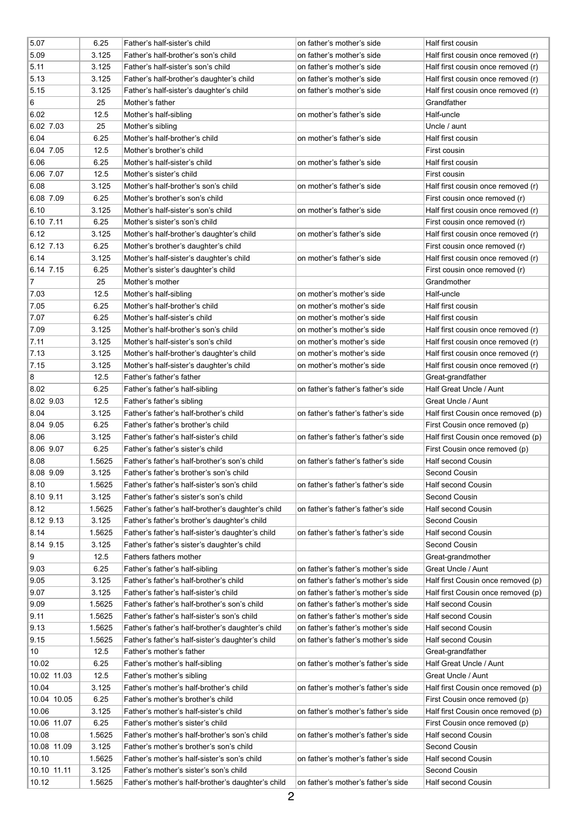| 5.07           | 6.25   | Father's half-sister's child                      | on father's mother's side          | Half first cousin                  |
|----------------|--------|---------------------------------------------------|------------------------------------|------------------------------------|
| 5.09           | 3.125  | Father's half-brother's son's child               | on father's mother's side          | Half first cousin once removed (r) |
| 5.11           | 3.125  | Father's half-sister's son's child                | on father's mother's side          | Half first cousin once removed (r) |
| 5.13           | 3.125  | Father's half-brother's daughter's child          | on father's mother's side          | Half first cousin once removed (r) |
| 5.15           | 3.125  | Father's half-sister's daughter's child           | on father's mother's side          | Half first cousin once removed (r) |
| $\overline{6}$ | 25     | Mother's father                                   |                                    | Grandfather                        |
| 6.02           | 12.5   | Mother's half-sibling                             | on mother's father's side          | Half-uncle                         |
| 6.02 7.03      | 25     | Mother's sibling                                  |                                    | Uncle / aunt                       |
| 6.04           | 6.25   | Mother's half-brother's child                     | on mother's father's side          | Half first cousin                  |
| 6.04 7.05      | 12.5   | Mother's brother's child                          |                                    | First cousin                       |
| 6.06           | 6.25   | Mother's half-sister's child                      | on mother's father's side          | Half first cousin                  |
| 6.06 7.07      |        | Mother's sister's child                           |                                    |                                    |
|                | 12.5   |                                                   |                                    | First cousin                       |
| 6.08           | 3.125  | Mother's half-brother's son's child               | on mother's father's side          | Half first cousin once removed (r) |
| 6.08 7.09      | 6.25   | Mother's brother's son's child                    |                                    | First cousin once removed (r)      |
| 6.10           | 3.125  | Mother's half-sister's son's child                | on mother's father's side          | Half first cousin once removed (r) |
| $6.10$ 7.11    | 6.25   | Mother's sister's son's child                     |                                    | First cousin once removed (r)      |
| 6.12           | 3.125  | Mother's half-brother's daughter's child          | on mother's father's side          | Half first cousin once removed (r) |
| 6.12, 7.13     | 6.25   | Mother's brother's daughter's child               |                                    | First cousin once removed (r)      |
| 6.14           | 3.125  | Mother's half-sister's daughter's child           | on mother's father's side          | Half first cousin once removed (r) |
| $6.14$ 7.15    | 6.25   | Mother's sister's daughter's child                |                                    | First cousin once removed (r)      |
| 17             | 25     | Mother's mother                                   |                                    | Grandmother                        |
| 7.03           | 12.5   | Mother's half-sibling                             | on mother's mother's side          | Half-uncle                         |
| 7.05           | 6.25   | Mother's half-brother's child                     | on mother's mother's side          | Half first cousin                  |
| 7.07           | 6.25   | Mother's half-sister's child                      | on mother's mother's side          | Half first cousin                  |
| 7.09           | 3.125  | Mother's half-brother's son's child               | on mother's mother's side          | Half first cousin once removed (r) |
| 7.11           | 3.125  | Mother's half-sister's son's child                | on mother's mother's side          | Half first cousin once removed (r) |
| 7.13           | 3.125  | Mother's half-brother's daughter's child          | on mother's mother's side          | Half first cousin once removed (r) |
| 7.15           | 3.125  | Mother's half-sister's daughter's child           | on mother's mother's side          | Half first cousin once removed (r) |
| 8              | 12.5   | Father's father's father                          |                                    | Great-grandfather                  |
| 8.02           | 6.25   | Father's father's half-sibling                    | on father's father's father's side | Half Great Uncle / Aunt            |
| 8.02 9.03      | 12.5   | Father's father's sibling                         |                                    | <b>Great Uncle / Aunt</b>          |
| 8.04           | 3.125  | Father's father's half-brother's child            | on father's father's father's side | Half first Cousin once removed (p) |
| 8.04 9.05      | 6.25   | Father's father's brother's child                 |                                    | First Cousin once removed (p)      |
| 8.06           | 3.125  | Father's father's half-sister's child             | on father's father's father's side | Half first Cousin once removed (p) |
| 8.06 9.07      | 6.25   | Father's father's sister's child                  |                                    | First Cousin once removed (p)      |
|                |        |                                                   | on father's father's father's side | <b>Half second Cousin</b>          |
| 8.08           | 1.5625 | Father's father's half-brother's son's child      |                                    |                                    |
| 8.08 9.09      | 3.125  | Father's father's brother's son's child           |                                    | <b>Second Cousin</b>               |
| 8.10           | 1.5625 | Father's father's half-sister's son's child       | on father's father's father's side | <b>Half second Cousin</b>          |
| 8.10 9.11      | 3.125  | Father's father's sister's son's child            |                                    | <b>Second Cousin</b>               |
| 8.12           | 1.5625 | Father's father's half-brother's daughter's child | on father's father's father's side | <b>Half second Cousin</b>          |
| 8.12 9.13      | 3.125  | Father's father's brother's daughter's child      |                                    | <b>Second Cousin</b>               |
| 8.14           | 1.5625 | Father's father's half-sister's daughter's child  | on father's father's father's side | <b>Half second Cousin</b>          |
| 8.14 9.15      | 3.125  | Father's father's sister's daughter's child       |                                    | <b>Second Cousin</b>               |
| Ι9             | 12.5   | Fathers fathers mother                            |                                    | Great-grandmother                  |
| 9.03           | 6.25   | Father's father's half-sibling                    | on father's father's mother's side | <b>Great Uncle / Aunt</b>          |
| 9.05           | 3.125  | Father's father's half-brother's child            | on father's father's mother's side | Half first Cousin once removed (p) |
| 9.07           | 3.125  | Father's father's half-sister's child             | on father's father's mother's side | Half first Cousin once removed (p) |
| 9.09           | 1.5625 | Father's father's half-brother's son's child      | on father's father's mother's side | <b>Half second Cousin</b>          |
| 9.11           | 1.5625 | Father's father's half-sister's son's child       | on father's father's mother's side | <b>Half second Cousin</b>          |
| 9.13           | 1.5625 | Father's father's half-brother's daughter's child | on father's father's mother's side | <b>Half second Cousin</b>          |
| 9.15           | 1.5625 | Father's father's half-sister's daughter's child  | on father's father's mother's side | <b>Half second Cousin</b>          |
| 10             | 12.5   | Father's mother's father                          |                                    | Great-grandfather                  |
| 10.02          | 6.25   | Father's mother's half-sibling                    | on father's mother's father's side | Half Great Uncle / Aunt            |
| 10.02 11.03    | 12.5   | Father's mother's sibling                         |                                    | <b>Great Uncle / Aunt</b>          |
| 10.04          | 3.125  | Father's mother's half-brother's child            | on father's mother's father's side | Half first Cousin once removed (p) |
| 10.04 10.05    | 6.25   | Father's mother's brother's child                 |                                    | First Cousin once removed (p)      |
| 10.06          | 3.125  | Father's mother's half-sister's child             | on father's mother's father's side | Half first Cousin once removed (p) |
| 10.06 11.07    | 6.25   | Father's mother's sister's child                  |                                    | First Cousin once removed (p)      |
| 10.08          | 1.5625 | Father's mother's half-brother's son's child      | on father's mother's father's side | <b>Half second Cousin</b>          |
| 10.08 11.09    | 3.125  | Father's mother's brother's son's child           |                                    | <b>Second Cousin</b>               |
| 10.10          | 1.5625 | Father's mother's half-sister's son's child       | on father's mother's father's side | <b>Half second Cousin</b>          |
| 10.10 11.11    | 3.125  | Father's mother's sister's son's child            |                                    | <b>Second Cousin</b>               |
| 10.12          | 1.5625 | Father's mother's half-brother's daughter's child | on father's mother's father's side | <b>Half second Cousin</b>          |
|                |        |                                                   |                                    |                                    |